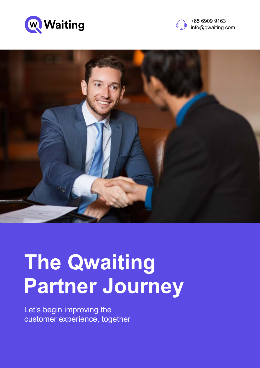





# **The Qwaiting Partner Journey**

Let's begin improving the customer experience, together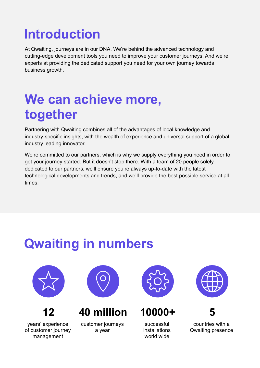## **Introduction**

At Qwaiting, journeys are in our DNA. We're behind the advanced technology and cutting-edge development tools you need to improve your customer journeys. And we're experts at providing the dedicated support you need for your own journey towards business growth.

#### **We can achieve more, together**

Partnering with Qwaiting combines all of the advantages of local knowledge and industry-specific insights, with the wealth of experience and universal support of a global, industry leading innovator.

We're committed to our partners, which is why we supply everything you need in order to get your journey started. But it doesn't stop there. With a team of 20 people solely dedicated to our partners, we'll ensure you're always up-to-date with the latest technological developments and trends, and we'll provide the best possible service at all times.

## **Qwaiting in numbers**



**12**

years' experience of customer journey management



**40 million**

customer journeys a year



**10000+**

successful installations world wide



**5**

countries with a Qwaiting presence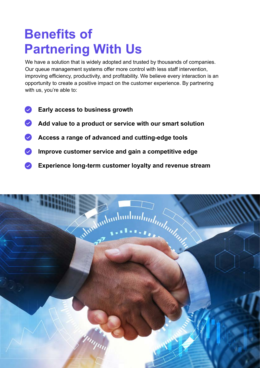## **Benefits of Partnering With Us**

We have a solution that is widely adopted and trusted by thousands of companies. Our queue management systems offer more control with less staff intervention, improving efficiency, productivity, and profitability. We believe every interaction is an opportunity to create a positive impact on the customer experience. By partnering with us, you're able to:

- $\overline{\mathsf{v}}$ **Early access to business growth**
- **Add value to a product or service with our smart solution**
- **Access a range of advanced and cutting-edge tools**
- **Improve customer service and gain a competitive edge**
- **Experience long-term customer loyalty and revenue stream** $\bullet$

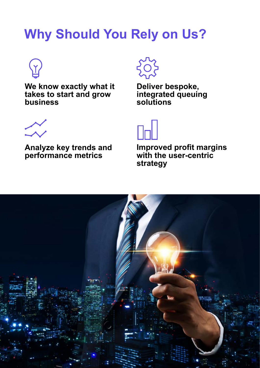## **Why Should You Rely on Us?**



**We know exactly what it takes to start and grow business**



**Deliver bespoke, integrated queuing solutions**



**Analyze key trends and performance metrics**



**Improved profit margins with the user-centric strategy**